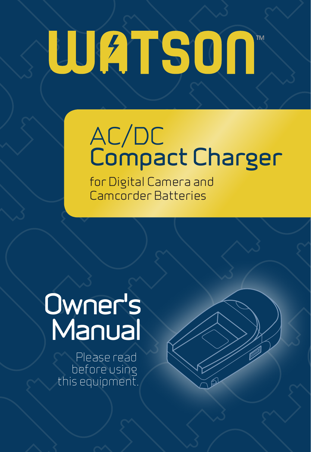# **WATSON**

# AC/DC Compact Charger

for Digital Camera and Camcorder Batteries

# Owner's Manual

Please read before using this equipment.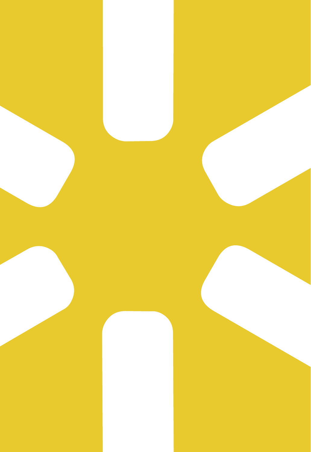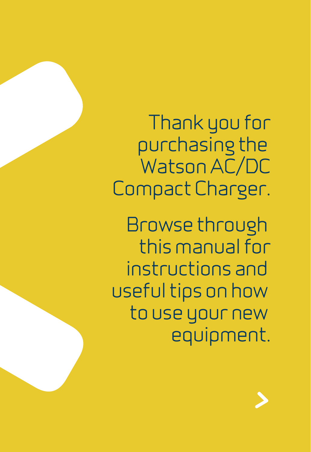Thank you for purchasing the Watson AC/DC Compact Charger.

Browse through this manual for instructions and useful tips on how to use your new equipment.

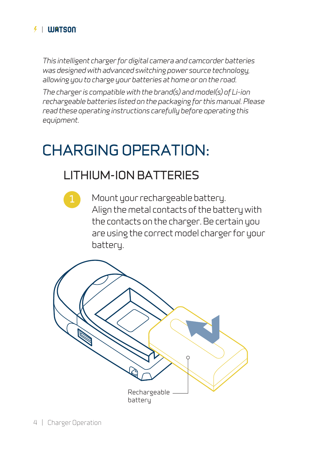#### $9 +$  LUATSON

This intelligent charger for digital camera and camcorder batteries was designed with advanced switching power source technology, allowing you to charge your batteries at home or on the road.

The charger is compatible with the brand(s) and model(s) of Li-ion rechargeable batteries listed on the packaging for this manual. Please read these operating instructions carefully before operating this equipment.

### CHARGING OPERATION:

#### LITHIUM-ION BATTERIES



Mount your rechargeable battery. Align the metal contacts of the battery with the contacts on the charger. Be certain you are using the correct model charger for your battery.

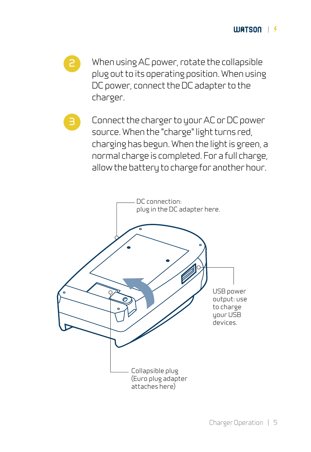When using AC power, rotate the collapsible plug out to its operating position. When using DC power, connect the DC adapter to the charger.

3 Connect the charger to your AC or DC power source. When the "charge" light turns red, charging has begun. When the light is green, a normal charge is completed. For a full charge, allow the battery to charge for another hour.

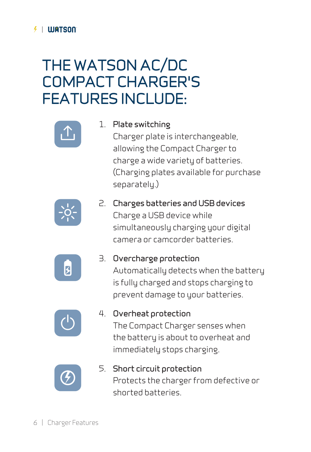# THE WATSON AC/DC COMPACT CHARGER'S FEATURES INCLUDE:



#### 1. Plate switching

Charger plate is interchangeable, allowing the Compact Charger to charge a wide variety of batteries. (Charging plates available for purchase separately.)



2. Charges batteries and USB devices Charge a USB device while simultaneously charging your digital camera or camcorder batteries.



#### 3. Overcharge protection

Automatically detects when the battery is fully charged and stops charging to prevent damage to your batteries.



#### 4. Overheat protection

The Compact Charger senses when the battery is about to overheat and immediately stops charging.



5. Short circuit protection Protects the charger from defective or shorted batteries.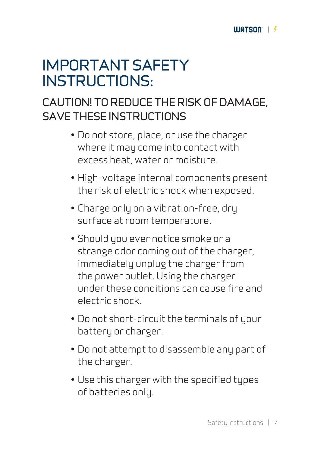# IMPORTANT SAFETY INSTRUCTIONS:

#### CAUTION! TO REDUCE THE RISK OF DAMAGE, SAVE THESE INSTRUCTIONS

- Do not store, place, or use the charger where it may come into contact with excess heat, water or moisture.
- High-voltage internal components present the risk of electric shock when exposed.
- Charge only on a vibration-free, dry surface at room temperature.
- Should you ever notice smoke or a strange odor coming out of the charger immediately unplue the charger from the power outlet. Using the charger under these conditions can cause fire and electric shock.
- Do not short-circuit the terminals of your battery or charger.
- Do not attempt to disassemble any part of the charger.
- Use this charger with the specified types of batteries only.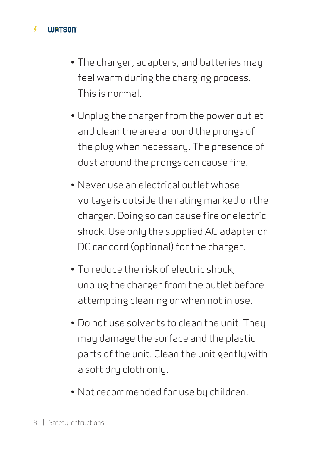#### $9 +$  LUATSON

- The charger, adapters, and batteries may feel warm during the charging process. This is normal.
- Unplug the charger from the power outlet and clean the area around the prongs of the plug when necessary. The presence of dust around the prongs can cause fire.
- Never use an electrical outlet whose voltage is outside the rating marked on the charger. Doing so can cause fire or electric shock. Use only the supplied AC adapter or DC car cord (optional) for the charger.
- To reduce the risk of electric shock, unplug the charger from the outlet before attempting cleaning or when not in use.
- . Do not use solvents to clean the unit. They may damage the surface and the plastic parts of the unit. Clean the unit gently with a soft dry cloth only.
- Not recommended for use by children.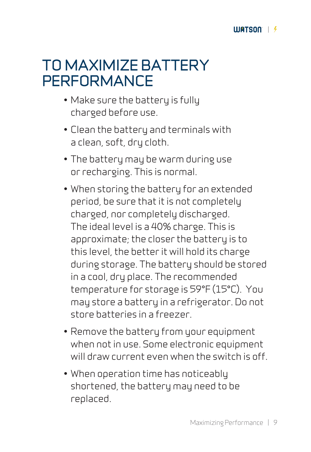## TO MAXIMIZE BATTERY **PERFORMANCE**

- . Make sure the batteru is fully charged before use.
- Clean the battery and terminals with a clean, soft, dry cloth.
- The battery may be warm during use or recharging. This is normal.
- When storing the battery for an extended period, be sure that it is not completely charged, nor completely discharged. The ideal level is a 40% charge. This is approximate: the closer the battery is to this level, the better it will hold its charge during storage. The battery should be stored in a cool, dru place. The recommended temperature for storage is 59°F (15°C). You may store a battery in a refrigerator. Do not store batteries in a freezer.
- Remove the battery from your equipment when not in use. Some electronic equipment will draw current even when the switch is off.
- When operation time has noticeably shortened, the battery may need to be replaced.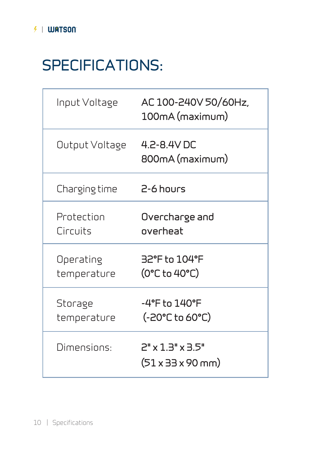# SPECIFICATIONS:

| Input Voltage            | AC 100-240V 50/60Hz,<br>100mA (maximum)   |
|--------------------------|-------------------------------------------|
| Output Voltage           | 4.2-8.4V DC<br>800mA (maximum)            |
| Charging time            | 2-6 hours                                 |
| Protection<br>Circuits   | Overcharge and<br>overheat                |
| Operating<br>temperature | 32°F to 104°F<br>(0°C to 40°C)            |
| Storage<br>temperature   | -4°F to 140°F<br>(-20°C to 60°C)          |
| Dimensions:              | $2"$ x 1 $3"$ x 3 5"<br>(51 x 33 x 90 mm) |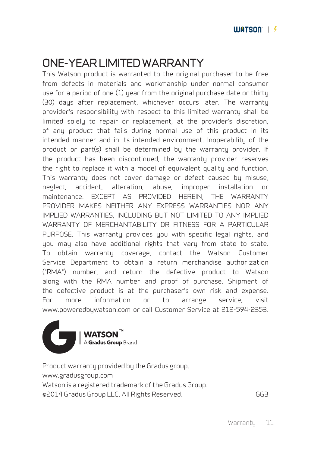#### ONE-YEAR LIMITED WARRANTY

This Watson product is warranted to the original purchaser to be free from defects in materials and workmanship under normal consumer use for a period of one (1) year from the original purchase date or thirty (30) days after replacement, whichever occurs later. The warranty provider's responsibility with respect to this limited warranty shall be limited solely to repair or replacement, at the provider's discretion, of any product that fails during normal use of this product in its intended manner and in its intended environment. Inoperability of the product or part(s) shall be determined by the warranty provider. If the product has been discontinued, the warranty provider reserves the right to replace it with a model of equivalent quality and function. This warrantu does not cover damage or defect caused by misuse. neglect, accident, alteration, abuse, improper installation or maintenance. EXCEPT AS PROVIDED HEREIN, THE WARRANTY PROVIDER MAKES NEITHER ANY EXPRESS WARRANTIES NOR ANY IMPLIED WARRANTIES, INCLUDING BUT NOT LIMITED TO ANY IMPLIED WARRANTY OF MERCHANTABILITY OR FITNESS FOR A PARTICULAR PURPOSE. This warranty provides you with specific legal rights, and uou may also have additional rights that vary from state to state. To obtain warranty coverage, contact the Watson Customer Service Department to obtain a return merchandise authorization ("RMA") number, and return the defective product to Watson along with the RMA number and proof of purchase. Shipment of the defective product is at the purchaser's own risk and expense. For more information or to arrange service, visit www.poweredbuwatson.com or call Customer Service at 212-594-2353.



Product warranty provided by the Gradus group. www.gradusgroup.com Watson is a registered trademark of the Gradus Group. ©2014 Gradus Group LLC. All Rights Reserved. GG3